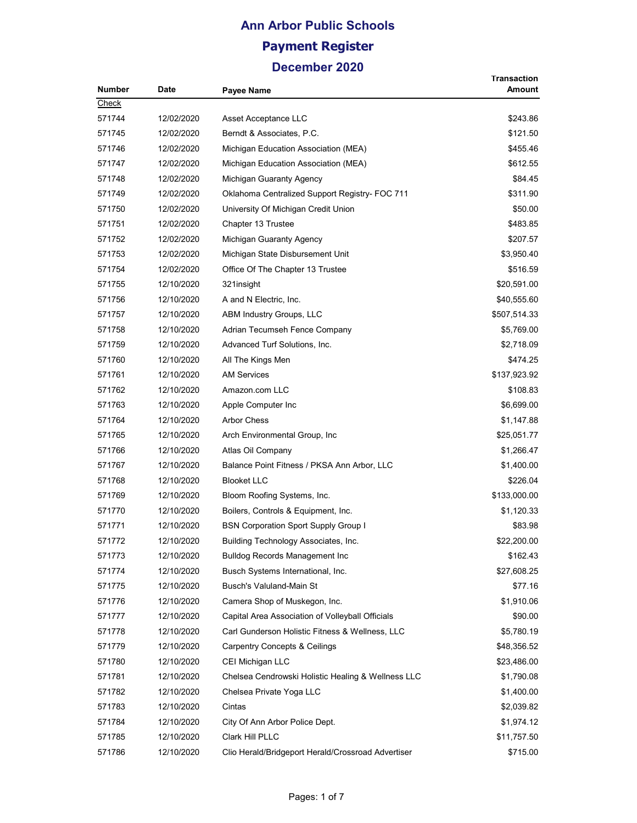| <b>Number</b> | Date       |                                                    | Transaction<br>Amount |
|---------------|------------|----------------------------------------------------|-----------------------|
| Check         |            | <b>Payee Name</b>                                  |                       |
| 571744        | 12/02/2020 | Asset Acceptance LLC                               | \$243.86              |
| 571745        | 12/02/2020 |                                                    |                       |
|               |            | Berndt & Associates, P.C.                          | \$121.50              |
| 571746        | 12/02/2020 | Michigan Education Association (MEA)               | \$455.46              |
| 571747        | 12/02/2020 | Michigan Education Association (MEA)               | \$612.55              |
| 571748        | 12/02/2020 | Michigan Guaranty Agency                           | \$84.45               |
| 571749        | 12/02/2020 | Oklahoma Centralized Support Registry- FOC 711     | \$311.90              |
| 571750        | 12/02/2020 | University Of Michigan Credit Union                | \$50.00               |
| 571751        | 12/02/2020 | Chapter 13 Trustee                                 | \$483.85              |
| 571752        | 12/02/2020 | Michigan Guaranty Agency                           | \$207.57              |
| 571753        | 12/02/2020 | Michigan State Disbursement Unit                   | \$3,950.40            |
| 571754        | 12/02/2020 | Office Of The Chapter 13 Trustee                   | \$516.59              |
| 571755        | 12/10/2020 | 321 insight                                        | \$20,591.00           |
| 571756        | 12/10/2020 | A and N Electric, Inc.                             | \$40,555.60           |
| 571757        | 12/10/2020 | ABM Industry Groups, LLC                           | \$507,514.33          |
| 571758        | 12/10/2020 | Adrian Tecumseh Fence Company                      | \$5,769.00            |
| 571759        | 12/10/2020 | Advanced Turf Solutions, Inc.                      | \$2,718.09            |
| 571760        | 12/10/2020 | All The Kings Men                                  | \$474.25              |
| 571761        | 12/10/2020 | <b>AM Services</b>                                 | \$137,923.92          |
| 571762        | 12/10/2020 | Amazon.com LLC                                     | \$108.83              |
| 571763        | 12/10/2020 | Apple Computer Inc                                 | \$6,699.00            |
| 571764        | 12/10/2020 | <b>Arbor Chess</b>                                 | \$1,147.88            |
| 571765        | 12/10/2020 | Arch Environmental Group, Inc.                     | \$25,051.77           |
| 571766        | 12/10/2020 | Atlas Oil Company                                  | \$1,266.47            |
| 571767        | 12/10/2020 | Balance Point Fitness / PKSA Ann Arbor, LLC        | \$1,400.00            |
| 571768        | 12/10/2020 | <b>Blooket LLC</b>                                 | \$226.04              |
| 571769        | 12/10/2020 | Bloom Roofing Systems, Inc.                        | \$133,000.00          |
| 571770        | 12/10/2020 | Boilers, Controls & Equipment, Inc.                | \$1,120.33            |
| 571771        | 12/10/2020 | <b>BSN Corporation Sport Supply Group I</b>        | \$83.98               |
| 571772        | 12/10/2020 | Building Technology Associates, Inc.               | \$22,200.00           |
| 571773        | 12/10/2020 | <b>Bulldog Records Management Inc.</b>             | \$162.43              |
| 571774        | 12/10/2020 | Busch Systems International, Inc.                  | \$27,608.25           |
| 571775        | 12/10/2020 | Busch's Valuland-Main St                           | \$77.16               |
| 571776        | 12/10/2020 | Camera Shop of Muskegon, Inc.                      | \$1,910.06            |
| 571777        | 12/10/2020 | Capital Area Association of Volleyball Officials   | \$90.00               |
| 571778        | 12/10/2020 | Carl Gunderson Holistic Fitness & Wellness, LLC    | \$5,780.19            |
| 571779        | 12/10/2020 | <b>Carpentry Concepts &amp; Ceilings</b>           | \$48,356.52           |
| 571780        | 12/10/2020 | CEI Michigan LLC                                   | \$23,486.00           |
|               |            |                                                    |                       |
| 571781        | 12/10/2020 | Chelsea Cendrowski Holistic Healing & Wellness LLC | \$1,790.08            |
| 571782        | 12/10/2020 | Chelsea Private Yoga LLC                           | \$1,400.00            |
| 571783        | 12/10/2020 | Cintas                                             | \$2,039.82            |
| 571784        | 12/10/2020 | City Of Ann Arbor Police Dept.                     | \$1,974.12            |
| 571785        | 12/10/2020 | Clark Hill PLLC                                    | \$11,757.50           |
| 571786        | 12/10/2020 | Clio Herald/Bridgeport Herald/Crossroad Advertiser | \$715.00              |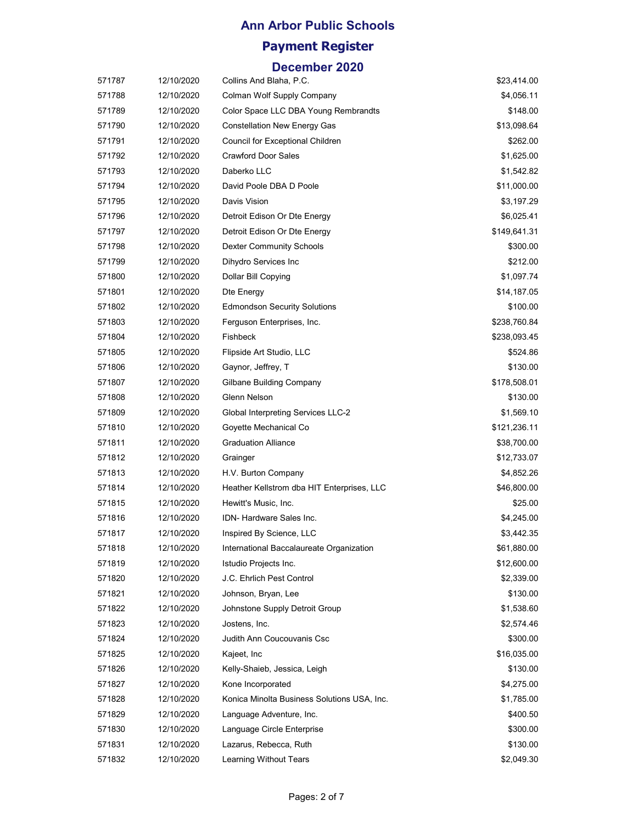#### **Ann Arbor Public Schools**

## **Payment Register**

| 571787 | 12/10/2020 | Collins And Blaha, P.C.                     | \$23,414.00  |
|--------|------------|---------------------------------------------|--------------|
| 571788 | 12/10/2020 | Colman Wolf Supply Company                  | \$4,056.11   |
| 571789 | 12/10/2020 | Color Space LLC DBA Young Rembrandts        | \$148.00     |
| 571790 | 12/10/2020 | Constellation New Energy Gas                | \$13,098.64  |
| 571791 | 12/10/2020 | Council for Exceptional Children            | \$262.00     |
| 571792 | 12/10/2020 | <b>Crawford Door Sales</b>                  | \$1,625.00   |
| 571793 | 12/10/2020 | Daberko LLC                                 | \$1,542.82   |
| 571794 | 12/10/2020 | David Poole DBA D Poole                     | \$11,000.00  |
| 571795 | 12/10/2020 | Davis Vision                                | \$3,197.29   |
| 571796 | 12/10/2020 | Detroit Edison Or Dte Energy                | \$6,025.41   |
| 571797 | 12/10/2020 | Detroit Edison Or Dte Energy                | \$149,641.31 |
| 571798 | 12/10/2020 | <b>Dexter Community Schools</b>             | \$300.00     |
| 571799 | 12/10/2020 | Dihydro Services Inc                        | \$212.00     |
| 571800 | 12/10/2020 | Dollar Bill Copying                         | \$1,097.74   |
| 571801 | 12/10/2020 | Dte Energy                                  | \$14,187.05  |
| 571802 | 12/10/2020 | <b>Edmondson Security Solutions</b>         | \$100.00     |
| 571803 | 12/10/2020 | Ferguson Enterprises, Inc.                  | \$238,760.84 |
| 571804 | 12/10/2020 | Fishbeck                                    | \$238,093.45 |
| 571805 | 12/10/2020 | Flipside Art Studio, LLC                    | \$524.86     |
| 571806 | 12/10/2020 | Gaynor, Jeffrey, T                          | \$130.00     |
| 571807 | 12/10/2020 | Gilbane Building Company                    | \$178,508.01 |
| 571808 | 12/10/2020 | Glenn Nelson                                | \$130.00     |
| 571809 | 12/10/2020 | Global Interpreting Services LLC-2          | \$1,569.10   |
| 571810 | 12/10/2020 | Goyette Mechanical Co                       | \$121,236.11 |
| 571811 | 12/10/2020 | <b>Graduation Alliance</b>                  | \$38,700.00  |
| 571812 | 12/10/2020 | Grainger                                    | \$12,733.07  |
| 571813 | 12/10/2020 | H.V. Burton Company                         | \$4,852.26   |
| 571814 | 12/10/2020 | Heather Kellstrom dba HIT Enterprises, LLC  | \$46,800.00  |
| 571815 | 12/10/2020 | Hewitt's Music, Inc.                        | \$25.00      |
| 571816 | 12/10/2020 | IDN- Hardware Sales Inc.                    | \$4,245.00   |
| 571817 | 12/10/2020 | Inspired By Science, LLC                    | \$3,442.35   |
| 571818 | 12/10/2020 | International Baccalaureate Organization    | \$61,880.00  |
| 571819 | 12/10/2020 | Istudio Projects Inc.                       | \$12,600.00  |
| 571820 | 12/10/2020 | J.C. Ehrlich Pest Control                   | \$2,339.00   |
| 571821 | 12/10/2020 | Johnson, Bryan, Lee                         | \$130.00     |
| 571822 | 12/10/2020 | Johnstone Supply Detroit Group              | \$1,538.60   |
| 571823 | 12/10/2020 | Jostens, Inc.                               | \$2,574.46   |
| 571824 | 12/10/2020 | Judith Ann Coucouvanis Csc                  | \$300.00     |
| 571825 | 12/10/2020 | Kajeet, Inc                                 | \$16,035.00  |
| 571826 | 12/10/2020 | Kelly-Shaieb, Jessica, Leigh                | \$130.00     |
| 571827 | 12/10/2020 | Kone Incorporated                           | \$4,275.00   |
| 571828 | 12/10/2020 | Konica Minolta Business Solutions USA, Inc. | \$1,785.00   |
| 571829 | 12/10/2020 | Language Adventure, Inc.                    | \$400.50     |
| 571830 | 12/10/2020 | Language Circle Enterprise                  | \$300.00     |
| 571831 | 12/10/2020 | Lazarus, Rebecca, Ruth                      | \$130.00     |
| 571832 | 12/10/2020 | Learning Without Tears                      | \$2,049.30   |
|        |            |                                             |              |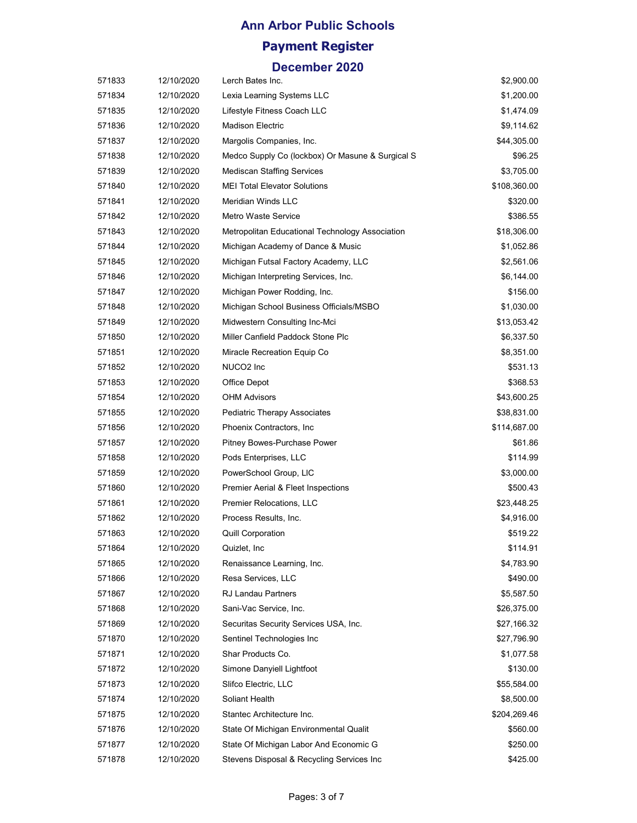| 571833 | 12/10/2020 | Lerch Bates Inc.                                 | \$2,900.00   |
|--------|------------|--------------------------------------------------|--------------|
| 571834 | 12/10/2020 | Lexia Learning Systems LLC                       | \$1,200.00   |
| 571835 | 12/10/2020 | Lifestyle Fitness Coach LLC                      | \$1,474.09   |
| 571836 | 12/10/2020 | Madison Electric                                 | \$9,114.62   |
| 571837 | 12/10/2020 | Margolis Companies, Inc.                         | \$44,305.00  |
| 571838 | 12/10/2020 | Medco Supply Co (lockbox) Or Masune & Surgical S | \$96.25      |
| 571839 | 12/10/2020 | Mediscan Staffing Services                       | \$3,705.00   |
| 571840 | 12/10/2020 | <b>MEI Total Elevator Solutions</b>              | \$108,360.00 |
| 571841 | 12/10/2020 | Meridian Winds LLC                               | \$320.00     |
| 571842 | 12/10/2020 | Metro Waste Service                              | \$386.55     |
| 571843 | 12/10/2020 | Metropolitan Educational Technology Association  | \$18,306.00  |
| 571844 | 12/10/2020 | Michigan Academy of Dance & Music                | \$1,052.86   |
| 571845 | 12/10/2020 | Michigan Futsal Factory Academy, LLC             | \$2,561.06   |
| 571846 | 12/10/2020 | Michigan Interpreting Services, Inc.             | \$6,144.00   |
| 571847 | 12/10/2020 | Michigan Power Rodding, Inc.                     | \$156.00     |
| 571848 | 12/10/2020 | Michigan School Business Officials/MSBO          | \$1,030.00   |
| 571849 | 12/10/2020 | Midwestern Consulting Inc-Mci                    | \$13,053.42  |
| 571850 | 12/10/2020 | Miller Canfield Paddock Stone Plc                | \$6,337.50   |
| 571851 | 12/10/2020 | Miracle Recreation Equip Co                      | \$8,351.00   |
| 571852 | 12/10/2020 | NUCO2 Inc                                        | \$531.13     |
| 571853 | 12/10/2020 | Office Depot                                     | \$368.53     |
| 571854 | 12/10/2020 | <b>OHM Advisors</b>                              | \$43,600.25  |
| 571855 | 12/10/2020 | Pediatric Therapy Associates                     | \$38,831.00  |
| 571856 | 12/10/2020 | Phoenix Contractors, Inc.                        | \$114,687.00 |
| 571857 | 12/10/2020 | Pitney Bowes-Purchase Power                      | \$61.86      |
| 571858 | 12/10/2020 | Pods Enterprises, LLC                            | \$114.99     |
| 571859 | 12/10/2020 | PowerSchool Group, LIC                           | \$3,000.00   |
| 571860 | 12/10/2020 | <b>Premier Aerial &amp; Fleet Inspections</b>    | \$500.43     |
| 571861 | 12/10/2020 | Premier Relocations, LLC                         | \$23,448.25  |
| 571862 | 12/10/2020 | Process Results, Inc.                            | \$4,916.00   |
| 571863 | 12/10/2020 | <b>Quill Corporation</b>                         | \$519.22     |
| 571864 | 12/10/2020 | Quizlet, Inc                                     | \$114.91     |
| 571865 | 12/10/2020 | Renaissance Learning, Inc.                       | \$4,783.90   |
| 571866 | 12/10/2020 | Resa Services, LLC                               | \$490.00     |
| 571867 | 12/10/2020 | RJ Landau Partners                               | \$5,587.50   |
| 571868 | 12/10/2020 | Sani-Vac Service, Inc.                           | \$26,375.00  |
| 571869 | 12/10/2020 | Securitas Security Services USA, Inc.            | \$27,166.32  |
| 571870 | 12/10/2020 | Sentinel Technologies Inc                        | \$27,796.90  |
| 571871 | 12/10/2020 | Shar Products Co.                                | \$1,077.58   |
| 571872 | 12/10/2020 | Simone Danyiell Lightfoot                        | \$130.00     |
| 571873 | 12/10/2020 | Slifco Electric, LLC                             | \$55,584.00  |
| 571874 | 12/10/2020 | Soliant Health                                   | \$8,500.00   |
| 571875 | 12/10/2020 | Stantec Architecture Inc.                        | \$204,269.46 |
| 571876 | 12/10/2020 | State Of Michigan Environmental Qualit           | \$560.00     |
| 571877 | 12/10/2020 | State Of Michigan Labor And Economic G           | \$250.00     |
| 571878 | 12/10/2020 | Stevens Disposal & Recycling Services Inc        | \$425.00     |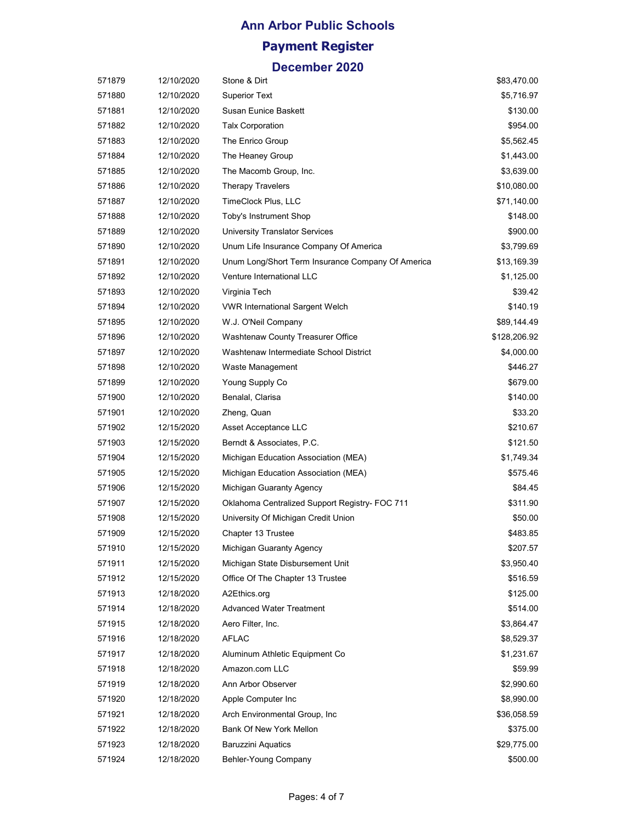| 571879 | 12/10/2020 | Stone & Dirt                                      | \$83,470.00  |
|--------|------------|---------------------------------------------------|--------------|
| 571880 | 12/10/2020 | <b>Superior Text</b>                              | \$5,716.97   |
| 571881 | 12/10/2020 | Susan Eunice Baskett                              | \$130.00     |
| 571882 | 12/10/2020 | <b>Talx Corporation</b>                           | \$954.00     |
| 571883 | 12/10/2020 | The Enrico Group                                  | \$5,562.45   |
| 571884 | 12/10/2020 | The Heaney Group                                  | \$1,443.00   |
| 571885 | 12/10/2020 | The Macomb Group, Inc.                            | \$3,639.00   |
| 571886 | 12/10/2020 | <b>Therapy Travelers</b>                          | \$10,080.00  |
| 571887 | 12/10/2020 | TimeClock Plus, LLC                               | \$71,140.00  |
| 571888 | 12/10/2020 | Toby's Instrument Shop                            | \$148.00     |
| 571889 | 12/10/2020 | University Translator Services                    | \$900.00     |
| 571890 | 12/10/2020 | Unum Life Insurance Company Of America            | \$3,799.69   |
| 571891 | 12/10/2020 | Unum Long/Short Term Insurance Company Of America | \$13,169.39  |
| 571892 | 12/10/2020 | Venture International LLC                         | \$1,125.00   |
| 571893 | 12/10/2020 | Virginia Tech                                     | \$39.42      |
| 571894 | 12/10/2020 | <b>VWR International Sargent Welch</b>            | \$140.19     |
| 571895 | 12/10/2020 | W.J. O'Neil Company                               | \$89,144.49  |
| 571896 | 12/10/2020 | Washtenaw County Treasurer Office                 | \$128,206.92 |
| 571897 | 12/10/2020 | Washtenaw Intermediate School District            | \$4,000.00   |
| 571898 | 12/10/2020 | Waste Management                                  | \$446.27     |
| 571899 | 12/10/2020 | Young Supply Co                                   | \$679.00     |
| 571900 | 12/10/2020 | Benalal, Clarisa                                  | \$140.00     |
| 571901 | 12/10/2020 | Zheng, Quan                                       | \$33.20      |
| 571902 | 12/15/2020 | Asset Acceptance LLC                              | \$210.67     |
| 571903 | 12/15/2020 | Berndt & Associates, P.C.                         | \$121.50     |
| 571904 | 12/15/2020 | Michigan Education Association (MEA)              | \$1,749.34   |
| 571905 | 12/15/2020 | Michigan Education Association (MEA)              | \$575.46     |
| 571906 | 12/15/2020 | Michigan Guaranty Agency                          | \$84.45      |
| 571907 | 12/15/2020 | Oklahoma Centralized Support Registry- FOC 711    | \$311.90     |
| 571908 | 12/15/2020 | University Of Michigan Credit Union               | \$50.00      |
| 571909 | 12/15/2020 | Chapter 13 Trustee                                | \$483.85     |
| 571910 | 12/15/2020 | Michigan Guaranty Agency                          | \$207.57     |
| 571911 | 12/15/2020 | Michigan State Disbursement Unit                  | \$3,950.40   |
| 571912 | 12/15/2020 | Office Of The Chapter 13 Trustee                  | \$516.59     |
| 571913 | 12/18/2020 | A2Ethics.org                                      | \$125.00     |
| 571914 | 12/18/2020 | <b>Advanced Water Treatment</b>                   | \$514.00     |
| 571915 | 12/18/2020 | Aero Filter, Inc.                                 | \$3,864.47   |
| 571916 | 12/18/2020 | <b>AFLAC</b>                                      | \$8,529.37   |
| 571917 | 12/18/2020 | Aluminum Athletic Equipment Co                    | \$1,231.67   |
| 571918 | 12/18/2020 | Amazon.com LLC                                    | \$59.99      |
| 571919 | 12/18/2020 | Ann Arbor Observer                                | \$2,990.60   |
| 571920 | 12/18/2020 | Apple Computer Inc                                | \$8,990.00   |
| 571921 | 12/18/2020 | Arch Environmental Group, Inc.                    | \$36,058.59  |
| 571922 | 12/18/2020 | Bank Of New York Mellon                           | \$375.00     |
| 571923 | 12/18/2020 | <b>Baruzzini Aquatics</b>                         | \$29,775.00  |
| 571924 | 12/18/2020 | Behler-Young Company                              | \$500.00     |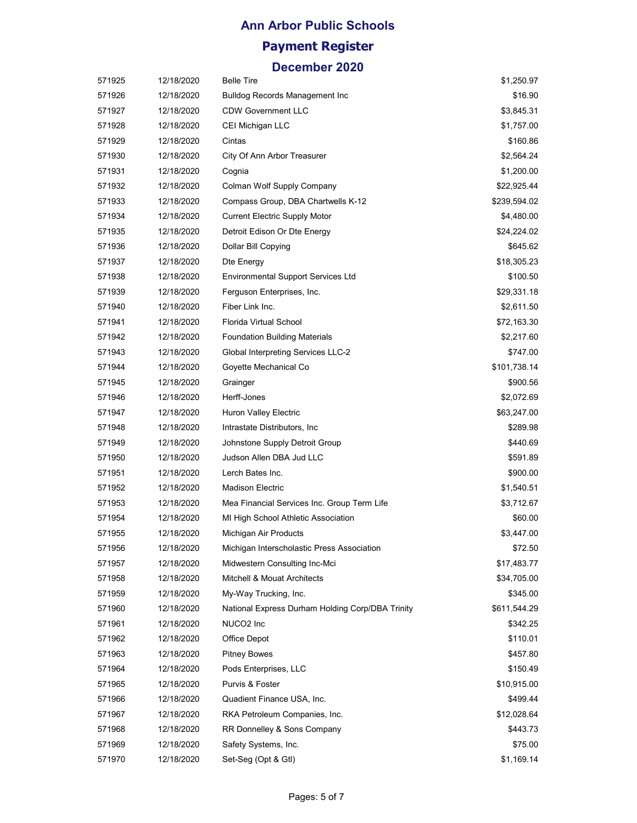| 571925 | 12/18/2020 | <b>Belle Tire</b>                                | \$1,250.97   |
|--------|------------|--------------------------------------------------|--------------|
| 571926 | 12/18/2020 | <b>Bulldog Records Management Inc</b>            | \$16.90      |
| 571927 | 12/18/2020 | <b>CDW Government LLC</b>                        | \$3,845.31   |
| 571928 | 12/18/2020 | CEI Michigan LLC                                 | \$1,757.00   |
| 571929 | 12/18/2020 | Cintas                                           | \$160.86     |
| 571930 | 12/18/2020 | City Of Ann Arbor Treasurer                      | \$2,564.24   |
| 571931 | 12/18/2020 | Cognia                                           | \$1,200.00   |
| 571932 | 12/18/2020 | Colman Wolf Supply Company                       | \$22,925.44  |
| 571933 | 12/18/2020 | Compass Group, DBA Chartwells K-12               | \$239,594.02 |
| 571934 | 12/18/2020 | <b>Current Electric Supply Motor</b>             | \$4,480.00   |
| 571935 | 12/18/2020 | Detroit Edison Or Dte Energy                     | \$24,224.02  |
| 571936 | 12/18/2020 | Dollar Bill Copying                              | \$645.62     |
| 571937 | 12/18/2020 | Dte Energy                                       | \$18,305.23  |
| 571938 | 12/18/2020 | <b>Environmental Support Services Ltd</b>        | \$100.50     |
| 571939 | 12/18/2020 | Ferguson Enterprises, Inc.                       | \$29,331.18  |
| 571940 | 12/18/2020 | Fiber Link Inc.                                  | \$2,611.50   |
| 571941 | 12/18/2020 | Florida Virtual School                           | \$72,163.30  |
| 571942 | 12/18/2020 | <b>Foundation Building Materials</b>             | \$2,217.60   |
| 571943 | 12/18/2020 | Global Interpreting Services LLC-2               | \$747.00     |
| 571944 | 12/18/2020 | Goyette Mechanical Co                            | \$101,738.14 |
| 571945 | 12/18/2020 | Grainger                                         | \$900.56     |
| 571946 | 12/18/2020 | Herff-Jones                                      | \$2,072.69   |
| 571947 | 12/18/2020 | Huron Valley Electric                            | \$63,247.00  |
| 571948 | 12/18/2020 | Intrastate Distributors, Inc.                    | \$289.98     |
| 571949 | 12/18/2020 | Johnstone Supply Detroit Group                   | \$440.69     |
| 571950 | 12/18/2020 | Judson Allen DBA Jud LLC                         | \$591.89     |
| 571951 | 12/18/2020 | Lerch Bates Inc.                                 | \$900.00     |
| 571952 | 12/18/2020 | <b>Madison Electric</b>                          | \$1,540.51   |
| 571953 | 12/18/2020 | Mea Financial Services Inc. Group Term Life      | \$3,712.67   |
| 571954 | 12/18/2020 | MI High School Athletic Association              | \$60.00      |
| 571955 | 12/18/2020 | Michigan Air Products                            | \$3,447.00   |
| 571956 | 12/18/2020 | Michigan Interscholastic Press Association       | \$72.50      |
| 571957 | 12/18/2020 | Midwestern Consulting Inc-Mci                    | \$17,483.77  |
| 571958 | 12/18/2020 | Mitchell & Mouat Architects                      | \$34,705.00  |
| 571959 | 12/18/2020 | My-Way Trucking, Inc.                            | \$345.00     |
| 571960 | 12/18/2020 | National Express Durham Holding Corp/DBA Trinity | \$611,544.29 |
| 571961 | 12/18/2020 | NUCO2 Inc                                        | \$342.25     |
| 571962 | 12/18/2020 | Office Depot                                     | \$110.01     |
| 571963 | 12/18/2020 | <b>Pitney Bowes</b>                              | \$457.80     |
| 571964 | 12/18/2020 | Pods Enterprises, LLC                            | \$150.49     |
| 571965 | 12/18/2020 | Purvis & Foster                                  | \$10,915.00  |
| 571966 | 12/18/2020 | Quadient Finance USA, Inc.                       | \$499.44     |
| 571967 | 12/18/2020 | RKA Petroleum Companies, Inc.                    | \$12,028.64  |
| 571968 | 12/18/2020 | RR Donnelley & Sons Company                      | \$443.73     |
| 571969 | 12/18/2020 | Safety Systems, Inc.                             | \$75.00      |
| 571970 | 12/18/2020 | Set-Seg (Opt & Gtl)                              | \$1,169.14   |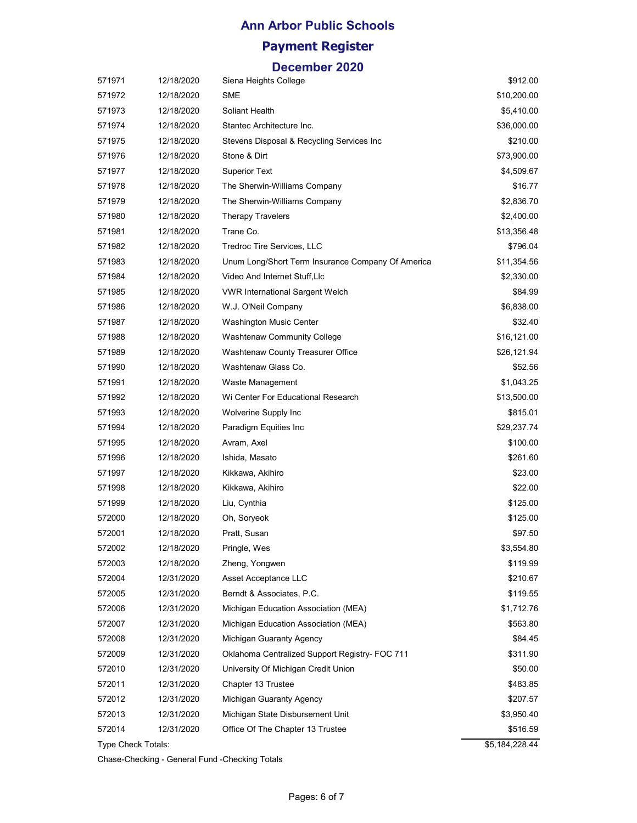# **Ann Arbor Public Schools**

### **Payment Register**

#### **December 2020**

| 571971             | 12/18/2020 | Siena Heights College                             | \$912.00       |
|--------------------|------------|---------------------------------------------------|----------------|
| 571972             | 12/18/2020 | <b>SME</b>                                        | \$10,200.00    |
| 571973             | 12/18/2020 | Soliant Health                                    | \$5,410.00     |
| 571974             | 12/18/2020 | Stantec Architecture Inc.                         | \$36,000.00    |
| 571975             | 12/18/2020 | Stevens Disposal & Recycling Services Inc         | \$210.00       |
| 571976             | 12/18/2020 | Stone & Dirt                                      | \$73,900.00    |
| 571977             | 12/18/2020 | <b>Superior Text</b>                              | \$4,509.67     |
| 571978             | 12/18/2020 | The Sherwin-Williams Company                      | \$16.77        |
| 571979             | 12/18/2020 | The Sherwin-Williams Company                      | \$2,836.70     |
| 571980             | 12/18/2020 | <b>Therapy Travelers</b>                          | \$2,400.00     |
| 571981             | 12/18/2020 | Trane Co.                                         | \$13,356.48    |
| 571982             | 12/18/2020 | Tredroc Tire Services, LLC                        | \$796.04       |
| 571983             | 12/18/2020 | Unum Long/Short Term Insurance Company Of America | \$11,354.56    |
| 571984             | 12/18/2020 | Video And Internet Stuff, Llc                     | \$2,330.00     |
| 571985             | 12/18/2020 | <b>VWR International Sargent Welch</b>            | \$84.99        |
| 571986             | 12/18/2020 | W.J. O'Neil Company                               | \$6,838.00     |
| 571987             | 12/18/2020 | Washington Music Center                           | \$32.40        |
| 571988             | 12/18/2020 | Washtenaw Community College                       | \$16,121.00    |
| 571989             | 12/18/2020 | Washtenaw County Treasurer Office                 | \$26,121.94    |
| 571990             | 12/18/2020 | Washtenaw Glass Co.                               | \$52.56        |
| 571991             | 12/18/2020 | Waste Management                                  | \$1,043.25     |
| 571992             | 12/18/2020 | Wi Center For Educational Research                | \$13,500.00    |
| 571993             | 12/18/2020 | Wolverine Supply Inc                              | \$815.01       |
| 571994             | 12/18/2020 | Paradigm Equities Inc                             | \$29,237.74    |
| 571995             | 12/18/2020 | Avram, Axel                                       | \$100.00       |
| 571996             | 12/18/2020 | Ishida, Masato                                    | \$261.60       |
| 571997             | 12/18/2020 | Kikkawa, Akihiro                                  | \$23.00        |
| 571998             | 12/18/2020 | Kikkawa, Akihiro                                  | \$22.00        |
| 571999             | 12/18/2020 | Liu, Cynthia                                      | \$125.00       |
| 572000             | 12/18/2020 | Oh, Soryeok                                       | \$125.00       |
| 572001             | 12/18/2020 | Pratt, Susan                                      | \$97.50        |
| 572002             | 12/18/2020 | Pringle, Wes                                      | \$3,554.80     |
| 572003             | 12/18/2020 | Zheng, Yongwen                                    | \$119.99       |
| 572004             | 12/31/2020 | Asset Acceptance LLC                              | \$210.67       |
| 572005             | 12/31/2020 | Berndt & Associates, P.C.                         | \$119.55       |
| 572006             | 12/31/2020 | Michigan Education Association (MEA)              | \$1,712.76     |
| 572007             | 12/31/2020 | Michigan Education Association (MEA)              | \$563.80       |
| 572008             | 12/31/2020 | Michigan Guaranty Agency                          | \$84.45        |
| 572009             | 12/31/2020 | Oklahoma Centralized Support Registry- FOC 711    | \$311.90       |
| 572010             | 12/31/2020 | University Of Michigan Credit Union               | \$50.00        |
| 572011             | 12/31/2020 | Chapter 13 Trustee                                | \$483.85       |
| 572012             | 12/31/2020 | Michigan Guaranty Agency                          | \$207.57       |
| 572013             | 12/31/2020 | Michigan State Disbursement Unit                  | \$3,950.40     |
| 572014             | 12/31/2020 | Office Of The Chapter 13 Trustee                  | \$516.59       |
| Type Check Totals: |            |                                                   | \$5,184,228.44 |

Chase-Checking - General Fund -Checking Totals